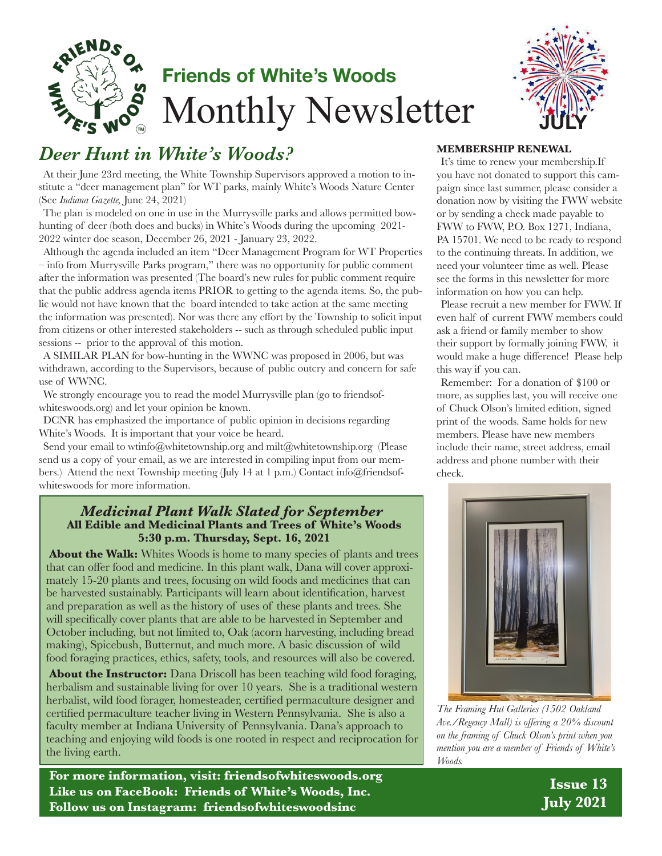

# **Friends of White's Woods** Monthly Newsletter



## *Deer Hunt in White's Woods?*

At their June 23rd meeting, the White Township Supervisors approved a motion to institute a "deer management plan" for WT parks, mainly White's Woods Nature Center (See *Indiana Gazette,* June 24, 2021)

The plan is modeled on one in use in the Murrysville parks and allows permitted bowhunting of deer (both does and bucks) in White's Woods during the upcoming 2021- 2022 winter doe season, December 26, 2021 - January 23, 2022.

Although the agenda included an item "Deer Management Program for WT Properties – info from Murrysville Parks program," there was no opportunity for public comment after the information was presented (The board's new rules for public comment require that the public address agenda items PRIOR to getting to the agenda items. So, the public would not have known that the board intended to take action at the same meeting the information was presented). Nor was there any effort by the Township to solicit input from citizens or other interested stakeholders -- such as through scheduled public input sessions -- prior to the approval of this motion.

A SIMILAR PLAN for bow-hunting in the WWNC was proposed in 2006, but was withdrawn, according to the Supervisors, because of public outcry and concern for safe use of WWNC.

We strongly encourage you to read the model Murrysville plan (go to friendsofwhiteswoods.org) and let your opinion be known.

DCNR has emphasized the importance of public opinion in decisions regarding White's Woods. It is important that your voice be heard.

Send your email to wtinfo@whitetownship.org and milt@whitetownship.org (Please send us a copy of your email, as we are interested in compiling input from our members.) Attend the next Township meeting (July 14 at 1 p.m.) Contact info@friendsofwhiteswoods for more information.

#### **All Edible and Medicinal Plants and Trees of White's Woods 5:30 p.m. Thursday, Sept. 16, 2021** *Medicinal Plant Walk Slated for September*

About the Walk: Whites Woods is home to many species of plants and trees that can offer food and medicine. In this plant walk, Dana will cover approximately 15-20 plants and trees, focusing on wild foods and medicines that can be harvested sustainably. Participants will learn about identification, harvest and preparation as well as the history of uses of these plants and trees. She will specifically cover plants that are able to be harvested in September and October including, but not limited to, Oak (acorn harvesting, including bread making), Spicebush, Butternut, and much more. A basic discussion of wild food foraging practices, ethics, safety, tools, and resources will also be covered.

**About the Instructor:** Dana Driscoll has been teaching wild food foraging, herbalism and sustainable living for over 10 years. She is a traditional western herbalist, wild food forager, homesteader, certified permaculture designer and certified permaculture teacher living in Western Pennsylvania. She is also a faculty member at Indiana University of Pennsylvania. Dana's approach to teaching and enjoying wild foods is one rooted in respect and reciprocation for the living earth.

**For more information, visit: friendsofwhiteswoods.org Like us on FaceBook: Friends of White's Woods, Inc. Follow us on Instagram: friendsofwhiteswoodsinc**

#### **MEMBERSHIP RENEWAL**

It's time to renew your membership.If you have not donated to support this campaign since last summer, please consider a donation now by visiting the FWW website or by sending a check made payable to FWW to FWW, P.O. Box 1271, Indiana, PA 15701. We need to be ready to respond to the continuing threats. In addition, we need your volunteer time as well. Please see the forms in this newsletter for more information on how you can help.

Please recruit a new member for FWW. If even half of current FWW members could ask a friend or family member to show their support by formally joining FWW, it would make a huge difference! Please help this way if you can.

Remember: For a donation of \$100 or more, as supplies last, you will receive one of Chuck Olson's limited edition, signed print of the woods. Same holds for new members. Please have new members include their name, street address, email address and phone number with their check.



*The Framing Hut Galleries (1502 Oakland Ave./Regency Mall) is offering a 20% discount on the framing of Chuck Olson's print when you mention you are a member of Friends of White's Woods.*

**Issue 13 July 2021**